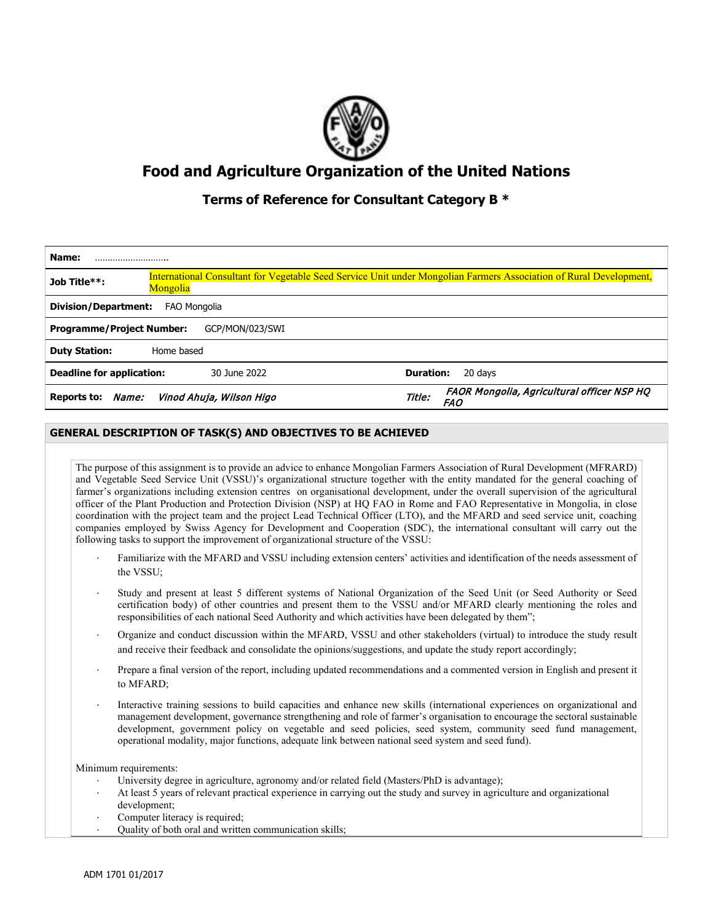

# **Food and Agriculture Organization of the United Nations**

# **Terms of Reference for Consultant Category B \***

| Name:                                       |            |                          |                  |                                                                                                                    |
|---------------------------------------------|------------|--------------------------|------------------|--------------------------------------------------------------------------------------------------------------------|
| Job Title**:                                | Mongolia   |                          |                  | International Consultant for Vegetable Seed Service Unit under Mongolian Farmers Association of Rural Development, |
| <b>Division/Department:</b><br>FAO Mongolia |            |                          |                  |                                                                                                                    |
| <b>Programme/Project Number:</b>            |            | GCP/MON/023/SWI          |                  |                                                                                                                    |
| <b>Duty Station:</b>                        | Home based |                          |                  |                                                                                                                    |
| <b>Deadline for application:</b>            |            | 30 June 2022             | <b>Duration:</b> | 20 days                                                                                                            |
| Reports to: Name:                           |            | Vinod Ahuja, Wilson Higo | Title:           | FAOR Mongolia, Agricultural officer NSP HQ<br><b>FAO</b>                                                           |

## **GENERAL DESCRIPTION OF TASK(S) AND OBJECTIVES TO BE ACHIEVED**

The purpose of this assignment is to provide an advice to enhance Mongolian Farmers Association of Rural Development (MFRARD) and Vegetable Seed Service Unit (VSSU)'s organizational structure together with the entity mandated for the general coaching of farmer's organizations including extension centres on organisational development, under the overall supervision of the agricultural officer of the Plant Production and Protection Division (NSP) at HQ FAO in Rome and FAO Representative in Mongolia, in close coordination with the project team and the project Lead Technical Officer (LTO), and the MFARD and seed service unit, coaching companies employed by Swiss Agency for Development and Cooperation (SDC), the international consultant will carry out the following tasks to support the improvement of organizational structure of the VSSU:

- Familiarize with the MFARD and VSSU including extension centers' activities and identification of the needs assessment of the VSSU;
- Study and present at least 5 different systems of National Organization of the Seed Unit (or Seed Authority or Seed certification body) of other countries and present them to the VSSU and/or MFARD clearly mentioning the roles and responsibilities of each national Seed Authority and which activities have been delegated by them";
- Organize and conduct discussion within the MFARD, VSSU and other stakeholders (virtual) to introduce the study result and receive their feedback and consolidate the opinions/suggestions, and update the study report accordingly;
- Prepare a final version of the report, including updated recommendations and a commented version in English and present it to MFARD;
- Interactive training sessions to build capacities and enhance new skills (international experiences on organizational and management development, governance strengthening and role of farmer's organisation to encourage the sectoral sustainable development, government policy on vegetable and seed policies, seed system, community seed fund management, operational modality, major functions, adequate link between national seed system and seed fund).

Minimum requirements:

- University degree in agriculture, agronomy and/or related field (Masters/PhD is advantage);
- At least 5 years of relevant practical experience in carrying out the study and survey in agriculture and organizational development;
- Computer literacy is required;
- ⋅ Quality of both oral and written communication skills;